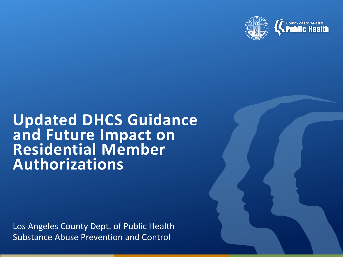

# **COUNTY OF LOS ANGELES**<br>**Public Health**

# **Updated DHCS Guidance and Future Impact on Residential Member Authorizations**

Los Angeles County Dept. of Public Health Substance Abuse Prevention and Control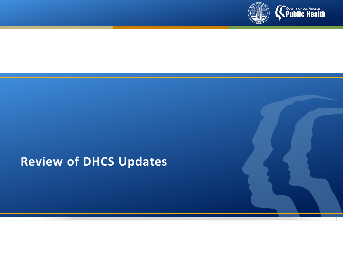

#### **Review of DHCS Updates**

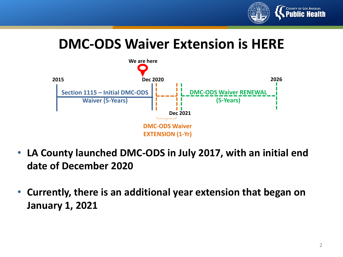

## **DMC-ODS Waiver Extension is HERE**



- **LA County launched DMC-ODS in July 2017, with an initial end date of December 2020**
- **Currently, there is an additional year extension that began on January 1, 2021**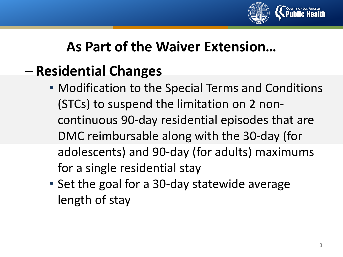

## **As Part of the Waiver Extension…**

# – **Residential Changes**

- Modification to the Special Terms and Conditions (STCs) to suspend the limitation on 2 noncontinuous 90-day residential episodes that are DMC reimbursable along with the 30-day (for adolescents) and 90-day (for adults) maximums for a single residential stay
- Set the goal for a 30-day statewide average length of stay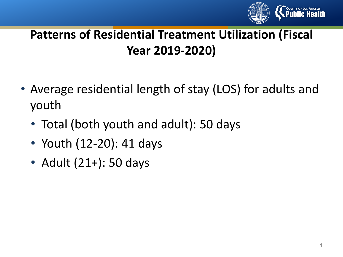

- Average residential length of stay (LOS) for adults and youth
	- Total (both youth and adult): 50 days
	- Youth (12-20): 41 days
	- Adult (21+): 50 days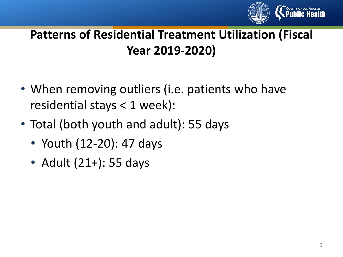

- When removing outliers (i.e. patients who have residential stays < 1 week):
- Total (both youth and adult): 55 days
	- Youth (12-20): 47 days
	- Adult (21+): 55 days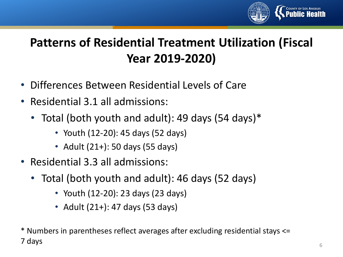

- Differences Between Residential Levels of Care
- Residential 3.1 all admissions:
	- Total (both youth and adult): 49 days (54 days)\*
		- Youth (12-20): 45 days (52 days)
		- Adult (21+): 50 days (55 days)
- Residential 3.3 all admissions:
	- Total (both youth and adult): 46 days (52 days)
		- Youth (12-20): 23 days (23 days)
		- Adult (21+): 47 days (53 days)

\* Numbers in parentheses reflect averages after excluding residential stays <= 7 days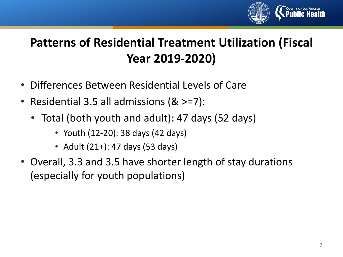

- Differences Between Residential Levels of Care
- Residential 3.5 all admissions (& >=7):
	- Total (both youth and adult): 47 days (52 days)
		- Youth (12-20): 38 days (42 days)
		- Adult (21+): 47 days (53 days)
- Overall, 3.3 and 3.5 have shorter length of stay durations (especially for youth populations)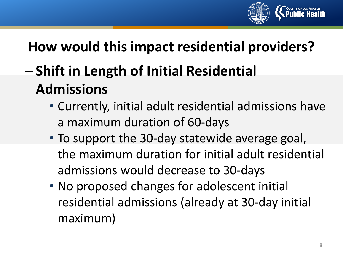

# **How would this impact residential providers?**

# – **Shift in Length of Initial Residential Admissions**

- Currently, initial adult residential admissions have a maximum duration of 60-days
- To support the 30-day statewide average goal, the maximum duration for initial adult residential admissions would decrease to 30-days
- No proposed changes for adolescent initial residential admissions (already at 30-day initial maximum)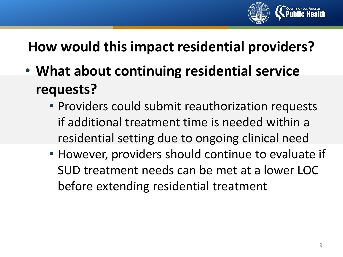

# **How would this impact residential providers?**

- **What about continuing residential service requests?**
	- Providers could submit reauthorization requests if additional treatment time is needed within a residential setting due to ongoing clinical need
	- However, providers should continue to evaluate if SUD treatment needs can be met at a lower LOC before extending residential treatment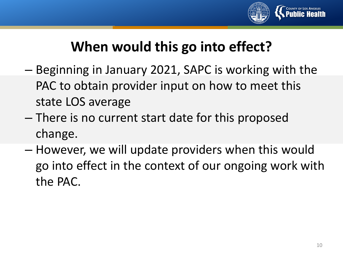

# **When would this go into effect?**

- Beginning in January 2021, SAPC is working with the PAC to obtain provider input on how to meet this state LOS average
- There is no current start date for this proposed change.
- However, we will update providers when this would go into effect in the context of our ongoing work with the PAC.